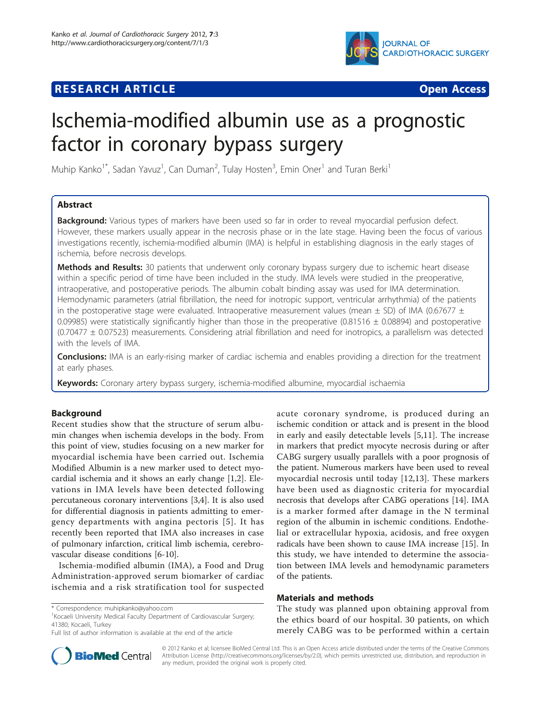

# **RESEARCH ARTICLE Example 2018 CONSUMING ACCESS**



# Ischemia-modified albumin use as a prognostic factor in coronary bypass surgery

Muhip Kanko<sup>1\*</sup>, Sadan Yavuz<sup>1</sup>, Can Duman<sup>2</sup>, Tulay Hosten<sup>3</sup>, Emin Oner<sup>1</sup> and Turan Berki<sup>1</sup>

# Abstract

Background: Various types of markers have been used so far in order to reveal myocardial perfusion defect. However, these markers usually appear in the necrosis phase or in the late stage. Having been the focus of various investigations recently, ischemia-modified albumin (IMA) is helpful in establishing diagnosis in the early stages of ischemia, before necrosis develops.

Methods and Results: 30 patients that underwent only coronary bypass surgery due to ischemic heart disease within a specific period of time have been included in the study. IMA levels were studied in the preoperative, intraoperative, and postoperative periods. The albumin cobalt binding assay was used for IMA determination. Hemodynamic parameters (atrial fibrillation, the need for inotropic support, ventricular arrhythmia) of the patients in the postoperative stage were evaluated. Intraoperative measurement values (mean  $\pm$  SD) of IMA (0.67677  $\pm$ 0.09985) were statistically significantly higher than those in the preoperative (0.81516  $\pm$  0.08894) and postoperative (0.70477 ± 0.07523) measurements. Considering atrial fibrillation and need for inotropics, a parallelism was detected with the levels of IMA.

**Conclusions:** IMA is an early-rising marker of cardiac ischemia and enables providing a direction for the treatment at early phases.

Keywords: Coronary artery bypass surgery, ischemia-modified albumine, myocardial ischaemia

# Background

Recent studies show that the structure of serum albumin changes when ischemia develops in the body. From this point of view, studies focusing on a new marker for myocardial ischemia have been carried out. Ischemia Modified Albumin is a new marker used to detect myocardial ischemia and it shows an early change [[1,2\]](#page-4-0). Elevations in IMA levels have been detected following percutaneous coronary interventions [\[3,4](#page-4-0)]. It is also used for differential diagnosis in patients admitting to emergency departments with angina pectoris [[5](#page-4-0)]. It has recently been reported that IMA also increases in case of pulmonary infarction, critical limb ischemia, cerebrovascular disease conditions [\[6](#page-4-0)-[10\]](#page-4-0).

Ischemia-modified albumin (IMA), a Food and Drug Administration-approved serum biomarker of cardiac ischemia and a risk stratification tool for suspected



# Materials and methods

The study was planned upon obtaining approval from the ethics board of our hospital. 30 patients, on which merely CABG was to be performed within a certain



© 2012 Kanko et al; licensee BioMed Central Ltd. This is an Open Access article distributed under the terms of the Creative Commons Attribution License [\(http://creativecommons.org/licenses/by/2.0](http://creativecommons.org/licenses/by/2.0)), which permits unrestricted use, distribution, and reproduction in any medium, provided the original work is properly cited.

<sup>\*</sup> Correspondence: [muhipkanko@yahoo.com](mailto:muhipkanko@yahoo.com)

<sup>&</sup>lt;sup>1</sup> Kocaeli University Medical Faculty Department of Cardiovascular Surgery; 41380; Kocaeli, Turkey

Full list of author information is available at the end of the article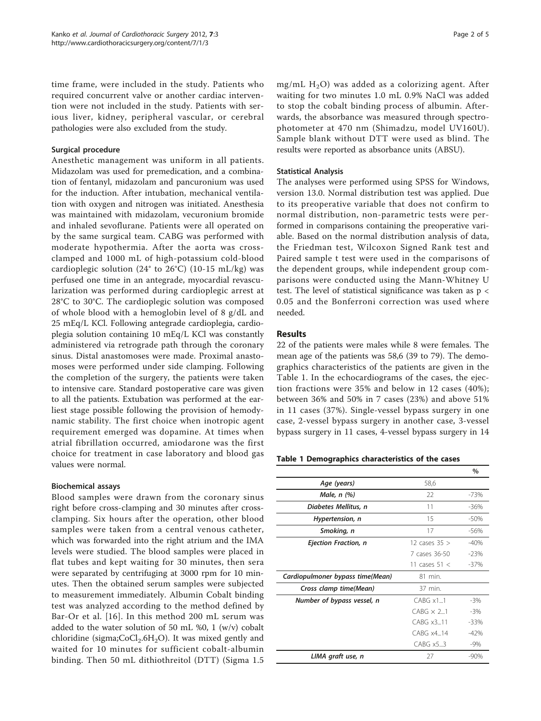time frame, were included in the study. Patients who required concurrent valve or another cardiac intervention were not included in the study. Patients with serious liver, kidney, peripheral vascular, or cerebral pathologies were also excluded from the study.

# Surgical procedure

Anesthetic management was uniform in all patients. Midazolam was used for premedication, and a combination of fentanyl, midazolam and pancuronium was used for the induction. After intubation, mechanical ventilation with oxygen and nitrogen was initiated. Anesthesia was maintained with midazolam, vecuronium bromide and inhaled sevoflurane. Patients were all operated on by the same surgical team. CABG was performed with moderate hypothermia. After the aorta was crossclamped and 1000 mL of high-potassium cold-blood cardioplegic solution (24 $\degree$  to 26 $\degree$ C) (10-15 mL/kg) was perfused one time in an antegrade, myocardial revascularization was performed during cardioplegic arrest at 28°C to 30°C. The cardioplegic solution was composed of whole blood with a hemoglobin level of 8 g/dL and 25 mEq/L KCl. Following antegrade cardioplegia, cardioplegia solution containing 10 mEq/L KCl was constantly administered via retrograde path through the coronary sinus. Distal anastomoses were made. Proximal anastomoses were performed under side clamping. Following the completion of the surgery, the patients were taken to intensive care. Standard postoperative care was given to all the patients. Extubation was performed at the earliest stage possible following the provision of hemodynamic stability. The first choice when inotropic agent requirement emerged was dopamine. At times when atrial fibrillation occurred, amiodarone was the first choice for treatment in case laboratory and blood gas values were normal.

#### Biochemical assays

Blood samples were drawn from the coronary sinus right before cross-clamping and 30 minutes after crossclamping. Six hours after the operation, other blood samples were taken from a central venous catheter, which was forwarded into the right atrium and the IMA levels were studied. The blood samples were placed in flat tubes and kept waiting for 30 minutes, then sera were separated by centrifuging at 3000 rpm for 10 minutes. Then the obtained serum samples were subjected to measurement immediately. Albumin Cobalt binding test was analyzed according to the method defined by Bar-Or et al. [\[16\]](#page-4-0). In this method 200 mL serum was added to the water solution of 50 mL %0, 1 (w/v) cobalt chloridine (sigma; $CoCl<sub>2</sub>.6H<sub>2</sub>O$ ). It was mixed gently and waited for 10 minutes for sufficient cobalt-albumin binding. Then 50 mL dithiothreitol (DTT) (Sigma 1.5 mg/mL  $H<sub>2</sub>O$ ) was added as a colorizing agent. After waiting for two minutes 1.0 mL 0.9% NaCl was added to stop the cobalt binding process of albumin. Afterwards, the absorbance was measured through spectrophotometer at 470 nm (Shimadzu, model UV160U). Sample blank without DTT were used as blind. The results were reported as absorbance units (ABSU).

#### Statistical Analysis

The analyses were performed using SPSS for Windows, version 13.0. Normal distribution test was applied. Due to its preoperative variable that does not confirm to normal distribution, non-parametric tests were performed in comparisons containing the preoperative variable. Based on the normal distribution analysis of data, the Friedman test, Wilcoxon Signed Rank test and Paired sample t test were used in the comparisons of the dependent groups, while independent group comparisons were conducted using the Mann-Whitney U test. The level of statistical significance was taken as p < 0.05 and the Bonferroni correction was used where needed.

# Results

22 of the patients were males while 8 were females. The mean age of the patients was 58,6 (39 to 79). The demographics characteristics of the patients are given in the Table 1. In the echocardiograms of the cases, the ejection fractions were 35% and below in 12 cases (40%); between 36% and 50% in 7 cases (23%) and above 51% in 11 cases (37%). Single-vessel bypass surgery in one case, 2-vessel bypass surgery in another case, 3-vessel bypass surgery in 11 cases, 4-vessel bypass surgery in 14

|  |  |  | Table 1 Demographics characteristics of the cases |  |  |  |
|--|--|--|---------------------------------------------------|--|--|--|
|--|--|--|---------------------------------------------------|--|--|--|

|                                  |                   | %      |
|----------------------------------|-------------------|--------|
| Age (years)                      | 58,6              |        |
| Male, n (%)                      | 22                | $-73%$ |
| Diabetes Mellitus, n             | 11                | $-36%$ |
| Hypertension, n                  | 15                | $-50%$ |
| Smoking, n                       | 17                | $-56%$ |
| Ejection Fraction, n             | 12 cases $35 >$   | $-40%$ |
|                                  | 7 cases 36-50     | $-23%$ |
|                                  | 11 cases $51 <$   | $-37%$ |
| Cardiopulmoner bypass time(Mean) | 81 min.           |        |
| Cross clamp time(Mean)           | 37 min.           |        |
| Number of bypass vessel, n       | $CABG \times 1$ 1 | $-3%$  |
|                                  | $CABG \times 2.1$ | $-3%$  |
|                                  | CABG x311         | $-33%$ |
|                                  | $C$ ABG $x4$ 14   | $-42%$ |
|                                  | CABG x53          | $-9\%$ |
| LIMA graft use, n                | 27                | $-90%$ |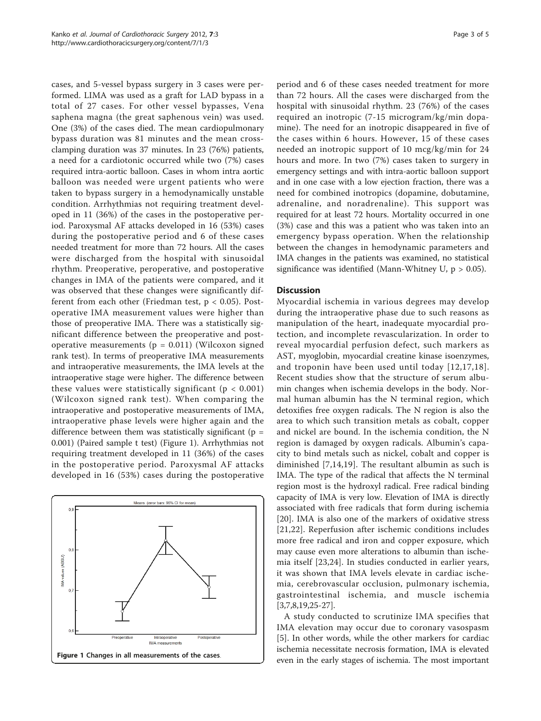cases, and 5-vessel bypass surgery in 3 cases were performed. LIMA was used as a graft for LAD bypass in a total of 27 cases. For other vessel bypasses, Vena saphena magna (the great saphenous vein) was used. One (3%) of the cases died. The mean cardiopulmonary bypass duration was 81 minutes and the mean crossclamping duration was 37 minutes. In 23 (76%) patients, a need for a cardiotonic occurred while two (7%) cases required intra-aortic balloon. Cases in whom intra aortic balloon was needed were urgent patients who were taken to bypass surgery in a hemodynamically unstable condition. Arrhythmias not requiring treatment developed in 11 (36%) of the cases in the postoperative period. Paroxysmal AF attacks developed in 16 (53%) cases during the postoperative period and 6 of these cases needed treatment for more than 72 hours. All the cases were discharged from the hospital with sinusoidal rhythm. Preoperative, peroperative, and postoperative changes in IMA of the patients were compared, and it was observed that these changes were significantly different from each other (Friedman test,  $p < 0.05$ ). Postoperative IMA measurement values were higher than those of preoperative IMA. There was a statistically significant difference between the preoperative and postoperative measurements ( $p = 0.011$ ) (Wilcoxon signed rank test). In terms of preoperative IMA measurements and intraoperative measurements, the IMA levels at the intraoperative stage were higher. The difference between these values were statistically significant ( $p < 0.001$ ) (Wilcoxon signed rank test). When comparing the intraoperative and postoperative measurements of IMA, intraoperative phase levels were higher again and the difference between them was statistically significant ( $p =$ 0.001) (Paired sample t test) (Figure 1). Arrhythmias not requiring treatment developed in 11 (36%) of the cases in the postoperative period. Paroxysmal AF attacks developed in 16 (53%) cases during the postoperative



period and 6 of these cases needed treatment for more than 72 hours. All the cases were discharged from the hospital with sinusoidal rhythm. 23 (76%) of the cases required an inotropic (7-15 microgram/kg/min dopamine). The need for an inotropic disappeared in five of the cases within 6 hours. However, 15 of these cases needed an inotropic support of 10 mcg/kg/min for 24 hours and more. In two (7%) cases taken to surgery in emergency settings and with intra-aortic balloon support and in one case with a low ejection fraction, there was a need for combined inotropics (dopamine, dobutamine, adrenaline, and noradrenaline). This support was required for at least 72 hours. Mortality occurred in one (3%) case and this was a patient who was taken into an emergency bypass operation. When the relationship between the changes in hemodynamic parameters and IMA changes in the patients was examined, no statistical significance was identified (Mann-Whitney U,  $p > 0.05$ ).

## **Discussion**

Myocardial ischemia in various degrees may develop during the intraoperative phase due to such reasons as manipulation of the heart, inadequate myocardial protection, and incomplete revascularization. In order to reveal myocardial perfusion defect, such markers as AST, myoglobin, myocardial creatine kinase isoenzymes, and troponin have been used until today [[12,17,18\]](#page-4-0). Recent studies show that the structure of serum albumin changes when ischemia develops in the body. Normal human albumin has the N terminal region, which detoxifies free oxygen radicals. The N region is also the area to which such transition metals as cobalt, copper and nickel are bound. In the ischemia condition, the N region is damaged by oxygen radicals. Albumin's capacity to bind metals such as nickel, cobalt and copper is diminished [\[7,14,19\]](#page-4-0). The resultant albumin as such is IMA. The type of the radical that affects the N terminal region most is the hydroxyl radical. Free radical binding capacity of IMA is very low. Elevation of IMA is directly associated with free radicals that form during ischemia [[20\]](#page-4-0). IMA is also one of the markers of oxidative stress [[21,22\]](#page-4-0). Reperfusion after ischemic conditions includes more free radical and iron and copper exposure, which may cause even more alterations to albumin than ischemia itself [\[23](#page-4-0),[24\]](#page-4-0). In studies conducted in earlier years, it was shown that IMA levels elevate in cardiac ischemia, cerebrovascular occlusion, pulmonary ischemia, gastrointestinal ischemia, and muscle ischemia [[3,7,8,19,25-27\]](#page-4-0).

A study conducted to scrutinize IMA specifies that IMA elevation may occur due to coronary vasospasm [[5\]](#page-4-0). In other words, while the other markers for cardiac ischemia necessitate necrosis formation, IMA is elevated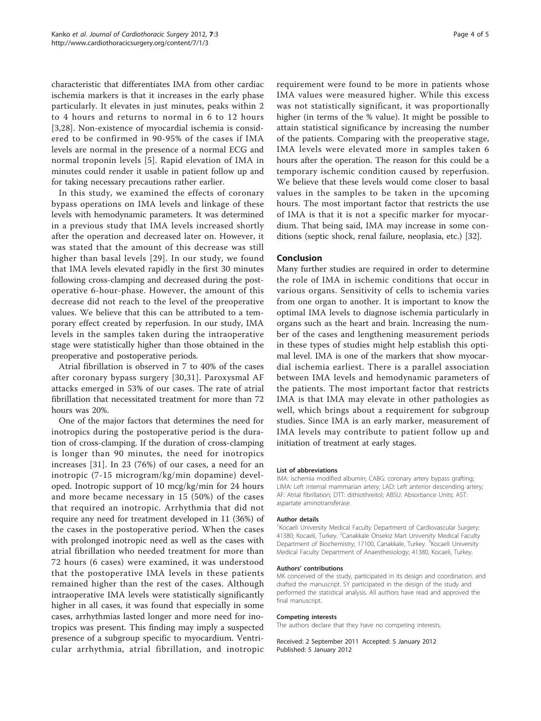characteristic that differentiates IMA from other cardiac ischemia markers is that it increases in the early phase particularly. It elevates in just minutes, peaks within 2 to 4 hours and returns to normal in 6 to 12 hours [[3,28](#page-4-0)]. Non-existence of myocardial ischemia is considered to be confirmed in 90-95% of the cases if IMA levels are normal in the presence of a normal ECG and normal troponin levels [\[5](#page-4-0)]. Rapid elevation of IMA in minutes could render it usable in patient follow up and for taking necessary precautions rather earlier.

In this study, we examined the effects of coronary bypass operations on IMA levels and linkage of these levels with hemodynamic parameters. It was determined in a previous study that IMA levels increased shortly after the operation and decreased later on. However, it was stated that the amount of this decrease was still higher than basal levels [\[29\]](#page-4-0). In our study, we found that IMA levels elevated rapidly in the first 30 minutes following cross-clamping and decreased during the postoperative 6-hour-phase. However, the amount of this decrease did not reach to the level of the preoperative values. We believe that this can be attributed to a temporary effect created by reperfusion. In our study, IMA levels in the samples taken during the intraoperative stage were statistically higher than those obtained in the preoperative and postoperative periods.

Atrial fibrillation is observed in 7 to 40% of the cases after coronary bypass surgery [[30,31\]](#page-4-0). Paroxysmal AF attacks emerged in 53% of our cases. The rate of atrial fibrillation that necessitated treatment for more than 72 hours was 20%.

One of the major factors that determines the need for inotropics during the postoperative period is the duration of cross-clamping. If the duration of cross-clamping is longer than 90 minutes, the need for inotropics increases [[31](#page-4-0)]. In 23 (76%) of our cases, a need for an inotropic (7-15 microgram/kg/min dopamine) developed. Inotropic support of 10 mcg/kg/min for 24 hours and more became necessary in 15 (50%) of the cases that required an inotropic. Arrhythmia that did not require any need for treatment developed in 11 (36%) of the cases in the postoperative period. When the cases with prolonged inotropic need as well as the cases with atrial fibrillation who needed treatment for more than 72 hours (6 cases) were examined, it was understood that the postoperative IMA levels in these patients remained higher than the rest of the cases. Although intraoperative IMA levels were statistically significantly higher in all cases, it was found that especially in some cases, arrhythmias lasted longer and more need for inotropics was present. This finding may imply a suspected presence of a subgroup specific to myocardium. Ventricular arrhythmia, atrial fibrillation, and inotropic

requirement were found to be more in patients whose IMA values were measured higher. While this excess was not statistically significant, it was proportionally higher (in terms of the % value). It might be possible to attain statistical significance by increasing the number of the patients. Comparing with the preoperative stage, IMA levels were elevated more in samples taken 6 hours after the operation. The reason for this could be a temporary ischemic condition caused by reperfusion. We believe that these levels would come closer to basal values in the samples to be taken in the upcoming hours. The most important factor that restricts the use of IMA is that it is not a specific marker for myocardium. That being said, IMA may increase in some conditions (septic shock, renal failure, neoplasia, etc.) [\[32](#page-4-0)].

# Conclusion

Many further studies are required in order to determine the role of IMA in ischemic conditions that occur in various organs. Sensitivity of cells to ischemia varies from one organ to another. It is important to know the optimal IMA levels to diagnose ischemia particularly in organs such as the heart and brain. Increasing the number of the cases and lengthening measurement periods in these types of studies might help establish this optimal level. IMA is one of the markers that show myocardial ischemia earliest. There is a parallel association between IMA levels and hemodynamic parameters of the patients. The most important factor that restricts IMA is that IMA may elevate in other pathologies as well, which brings about a requirement for subgroup studies. Since IMA is an early marker, measurement of IMA levels may contribute to patient follow up and initiation of treatment at early stages.

#### List of abbreviations

IMA: ischemia modified albumin; CABG: coronary artery bypass grafting; LIMA: Left internal mammarian artery; LAD: Left anterior descending artery; AF: Atrial fibrillation; DTT: dithiothreitol; ABSU: Absorbance Units; AST: aspartate aminotransferase.

#### Author details

<sup>1</sup> Kocaeli University Medical Faculty Department of Cardiovascular Surgery 41380; Kocaeli, Turkey. <sup>2</sup>Canakkale Onsekiz Mart University Medical Faculty Department of Biochemistry; 17100, Canakkale, Turkey. <sup>3</sup>Kocaeli University Medical Faculty Department of Anaesthesiology; 41380, Kocaeli, Turkey.

#### Authors' contributions

MK conceived of the study, participated in its design and coordination. and drafted the manuscript. SY participated in the design of the study and performed the statistical analysis. All authors have read and approved the final manuscript.

#### Competing interests

The authors declare that they have no competing interests.

Received: 2 September 2011 Accepted: 5 January 2012 Published: 5 January 2012